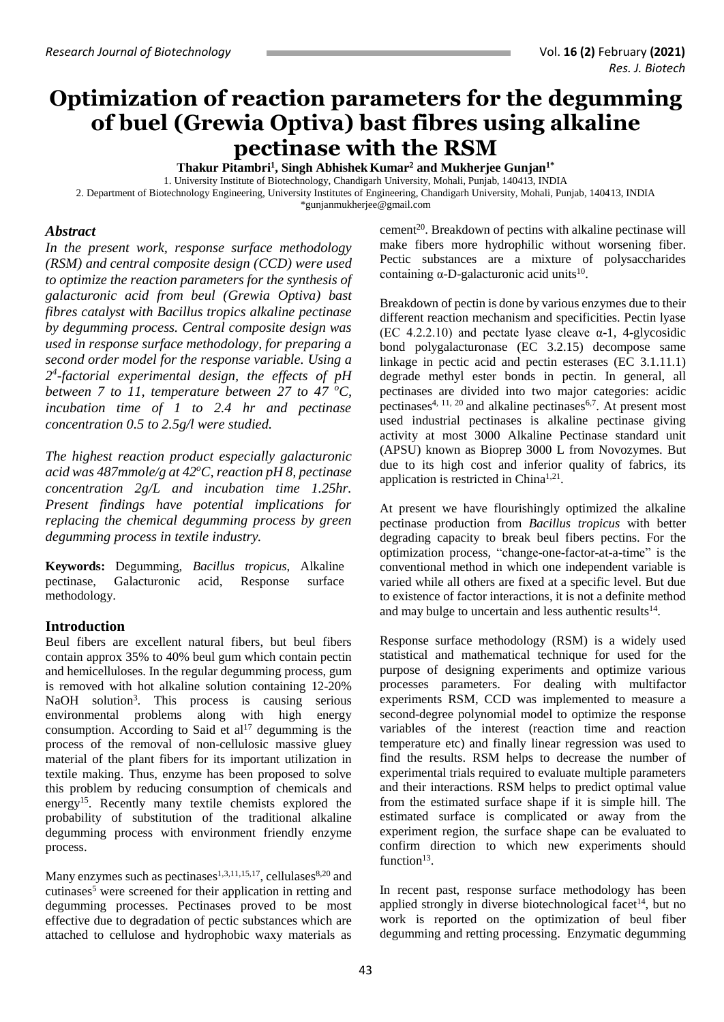# **Optimization of reaction parameters for the degumming of buel (Grewia Optiva) bast fibres using alkaline pectinase with the RSM**

**Thakur Pitambri<sup>1</sup> , Singh AbhishekKumar<sup>2</sup> and Mukherjee Gunjan1\***

1. University Institute of Biotechnology, Chandigarh University, Mohali, Punjab, 140413, INDIA

2. Department of Biotechnology Engineering, University Institutes of Engineering, Chandigarh University, Mohali, Punjab, 140413, INDIA [\\*gunjanmukherjee@gmail.com](mailto:gunjanmukherjee@gmail.com) 

## *Abstract*

*In the present work, response surface methodology (RSM) and central composite design (CCD) were used to optimize the reaction parameters for the synthesis of galacturonic acid from beul (Grewia Optiva) bast fibres catalyst with Bacillus tropics alkaline pectinase by degumming process. Central composite design was used in response surface methodology, for preparing a second order model for the response variable. Using a 2 4 -factorial experimental design, the effects of pH between 7 to 11, temperature between 27 to 47 <sup>o</sup>C, incubation time of 1 to 2.4 hr and pectinase concentration 0.5 to 2.5g/l were studied.*

*The highest reaction product especially galacturonic acid was 487mmole/g at 42<sup>o</sup>C, reaction pH 8, pectinase concentration 2g/L and incubation time 1.25hr. Present findings have potential implications for replacing the chemical degumming process by green degumming process in textile industry.*

**Keywords:** Degumming, *Bacillus tropicus*, Alkaline pectinase, Galacturonic acid, Response surface methodology.

## **Introduction**

Beul fibers are excellent natural fibers, but beul fibers contain approx 35% to 40% beul gum which contain pectin and hemicelluloses. In the regular degumming process, gum is removed with hot alkaline solution containing 12-20% NaOH solution<sup>3</sup>. This process is causing serious environmental problems along with high energy consumption. According to Said et  $al<sup>17</sup>$  degumming is the process of the removal of non-cellulosic massive gluey material of the plant fibers for its important utilization in textile making. Thus, enzyme has been proposed to solve this problem by reducing consumption of chemicals and energy<sup>15</sup>. Recently many textile chemists explored the probability of substitution of the traditional alkaline degumming process with environment friendly enzyme process.

Many enzymes such as pectinases<sup>1,3,11,15,17</sup>, cellulases<sup>8,20</sup> and cutinases<sup>5</sup> were screened for their application in retting and degumming processes. Pectinases proved to be most effective due to degradation of pectic substances which are attached to cellulose and hydrophobic waxy materials as cement<sup>20</sup>. Breakdown of pectins with alkaline pectinase will make fibers more hydrophilic without worsening fiber. Pectic substances are a mixture of polysaccharides containing  $\alpha$ -D-galacturonic acid units<sup>10</sup>.

Breakdown of pectin is done by various enzymes due to their different reaction mechanism and specificities. Pectin lyase (EC 4.2.2.10) and pectate lyase cleave  $\alpha$ -1, 4-glycosidic bond polygalacturonase (EC 3.2.15) decompose same linkage in pectic acid and pectin esterases (EC 3.1.11.1) degrade methyl ester bonds in pectin. In general, all pectinases are divided into two major categories: acidic pectinases $4, 11, 20$  and alkaline pectinases $6,7$ . At present most used industrial pectinases is alkaline pectinase giving activity at most 3000 Alkaline Pectinase standard unit (APSU) known as Bioprep 3000 L from Novozymes. But due to its high cost and inferior quality of fabrics, its application is restricted in China<sup>1,21</sup>.

At present we have flourishingly optimized the alkaline pectinase production from *Bacillus tropicus* with better degrading capacity to break beul fibers pectins. For the optimization process, "change-one-factor-at-a-time" is the conventional method in which one independent variable is varied while all others are fixed at a specific level. But due to existence of factor interactions, it is not a definite method and may bulge to uncertain and less authentic results<sup>14</sup>.

Response surface methodology (RSM) is a widely used statistical and mathematical technique for used for the purpose of designing experiments and optimize various processes parameters. For dealing with multifactor experiments RSM, CCD was implemented to measure a second-degree polynomial model to optimize the response variables of the interest (reaction time and reaction temperature etc) and finally linear regression was used to find the results. RSM helps to decrease the number of experimental trials required to evaluate multiple parameters and their interactions. RSM helps to predict optimal value from the estimated surface shape if it is simple hill. The estimated surface is complicated or away from the experiment region, the surface shape can be evaluated to confirm direction to which new experiments should function $13$ .

In recent past, response surface methodology has been applied strongly in diverse biotechnological facet<sup>14</sup>, but no work is reported on the optimization of beul fiber degumming and retting processing. Enzymatic degumming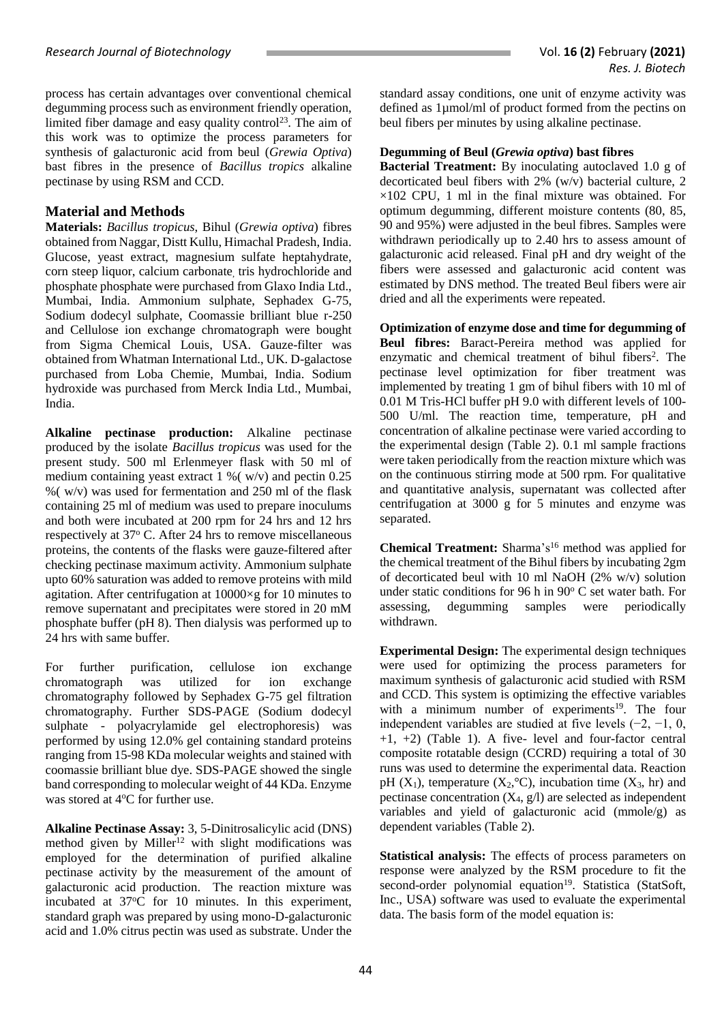process has certain advantages over conventional chemical degumming process such as environment friendly operation, limited fiber damage and easy quality control<sup>23</sup>. The aim of this work was to optimize the process parameters for synthesis of galacturonic acid from beul (*Grewia Optiva*) bast fibres in the presence of *Bacillus tropics* alkaline pectinase by using RSM and CCD.

## **Material and Methods**

**Materials:** *Bacillus tropicus*, Bihul (*Grewia optiva*) fibres obtained from Naggar, Distt Kullu, Himachal Pradesh, India. Glucose, yeast extract, magnesium sulfate heptahydrate, corn steep liquor, calcium carbonate, tris hydrochloride and phosphate phosphate were purchased from Glaxo India Ltd., Mumbai, India. Ammonium sulphate, Sephadex G-75, Sodium dodecyl sulphate, Coomassie brilliant blue r-250 and Cellulose ion exchange chromatograph were bought from Sigma Chemical Louis, USA. Gauze-filter was obtained from Whatman International Ltd., UK. D-galactose purchased from Loba Chemie, Mumbai, India. Sodium hydroxide was purchased from Merck India Ltd., Mumbai, India.

**Alkaline pectinase production:** Alkaline pectinase produced by the isolate *Bacillus tropicus* was used for the present study. 500 ml Erlenmeyer flask with 50 ml of medium containing yeast extract 1 %( w/v) and pectin 0.25 % ( $w/v$ ) was used for fermentation and 250 ml of the flask containing 25 ml of medium was used to prepare inoculums and both were incubated at 200 rpm for 24 hrs and 12 hrs respectively at 37° C. After 24 hrs to remove miscellaneous proteins, the contents of the flasks were gauze-filtered after checking pectinase maximum activity. Ammonium sulphate upto 60% saturation was added to remove proteins with mild agitation. After centrifugation at 10000×g for 10 minutes to remove supernatant and precipitates were stored in 20 mM phosphate buffer (pH 8). Then dialysis was performed up to 24 hrs with same buffer.

For further purification, cellulose ion exchange chromatograph was utilized for ion exchange chromatography followed by Sephadex G-75 gel filtration chromatography. Further SDS-PAGE (Sodium dodecyl sulphate - polyacrylamide gel electrophoresis) was performed by using 12.0% gel containing standard proteins ranging from 15-98 KDa molecular weights and stained with coomassie brilliant blue dye. SDS-PAGE showed the single band corresponding to molecular weight of 44 KDa. Enzyme was stored at 4°C for further use.

**Alkaline Pectinase Assay:** 3, 5-Dinitrosalicylic acid (DNS) method given by Miller<sup>12</sup> with slight modifications was employed for the determination of purified alkaline pectinase activity by the measurement of the amount of galacturonic acid production. The reaction mixture was incubated at 37°C for 10 minutes. In this experiment, standard graph was prepared by using mono-D-galacturonic acid and 1.0% citrus pectin was used as substrate. Under the

standard assay conditions, one unit of enzyme activity was defined as 1µmol/ml of product formed from the pectins on beul fibers per minutes by using alkaline pectinase.

## **Degumming of Beul (***Grewia optiva***) bast fibres**

**Bacterial Treatment:** By inoculating autoclaved 1.0 g of decorticated beul fibers with 2% (w/v) bacterial culture, 2  $\times$ 102 CPU, 1 ml in the final mixture was obtained. For optimum degumming, different moisture contents (80, 85, 90 and 95%) were adjusted in the beul fibres. Samples were withdrawn periodically up to 2.40 hrs to assess amount of galacturonic acid released. Final pH and dry weight of the fibers were assessed and galacturonic acid content was estimated by DNS method. The treated Beul fibers were air dried and all the experiments were repeated.

**Optimization of enzyme dose and time for degumming of Beul fibres:** Baract-Pereira method was applied for enzymatic and chemical treatment of bihul fibers<sup>2</sup>. The pectinase level optimization for fiber treatment was implemented by treating 1 gm of bihul fibers with 10 ml of 0.01 M Tris-HCl buffer pH 9.0 with different levels of 100- 500 U/ml. The reaction time, temperature, pH and concentration of alkaline pectinase were varied according to the experimental design (Table 2). 0.1 ml sample fractions were taken periodically from the reaction mixture which was on the continuous stirring mode at 500 rpm. For qualitative and quantitative analysis, supernatant was collected after centrifugation at 3000 g for 5 minutes and enzyme was separated.

**Chemical Treatment:** Sharma's<sup>16</sup> method was applied for the chemical treatment of the Bihul fibers by incubating 2gm of decorticated beul with 10 ml NaOH (2% w/v) solution under static conditions for 96 h in  $90^{\circ}$  C set water bath. For assessing, degumming samples were periodically withdrawn.

**Experimental Design:** The experimental design techniques were used for optimizing the process parameters for maximum synthesis of galacturonic acid studied with RSM and CCD. This system is optimizing the effective variables with a minimum number of experiments<sup>19</sup>. The four independent variables are studied at five levels  $(-2, -1, 0, 1)$ +1, +2) (Table 1). A five- level and four-factor central composite rotatable design (CCRD) requiring a total of 30 runs was used to determine the experimental data. Reaction pH  $(X_1)$ , temperature  $(X_2, {}^{\circ}C)$ , incubation time  $(X_3, hr)$  and pectinase concentration  $(X_4, g_1)$  are selected as independent variables and yield of galacturonic acid (mmole/g) as dependent variables (Table 2).

**Statistical analysis:** The effects of process parameters on response were analyzed by the RSM procedure to fit the second-order polynomial equation<sup>19</sup>. Statistica (StatSoft, Inc., USA) software was used to evaluate the experimental data. The basis form of the model equation is: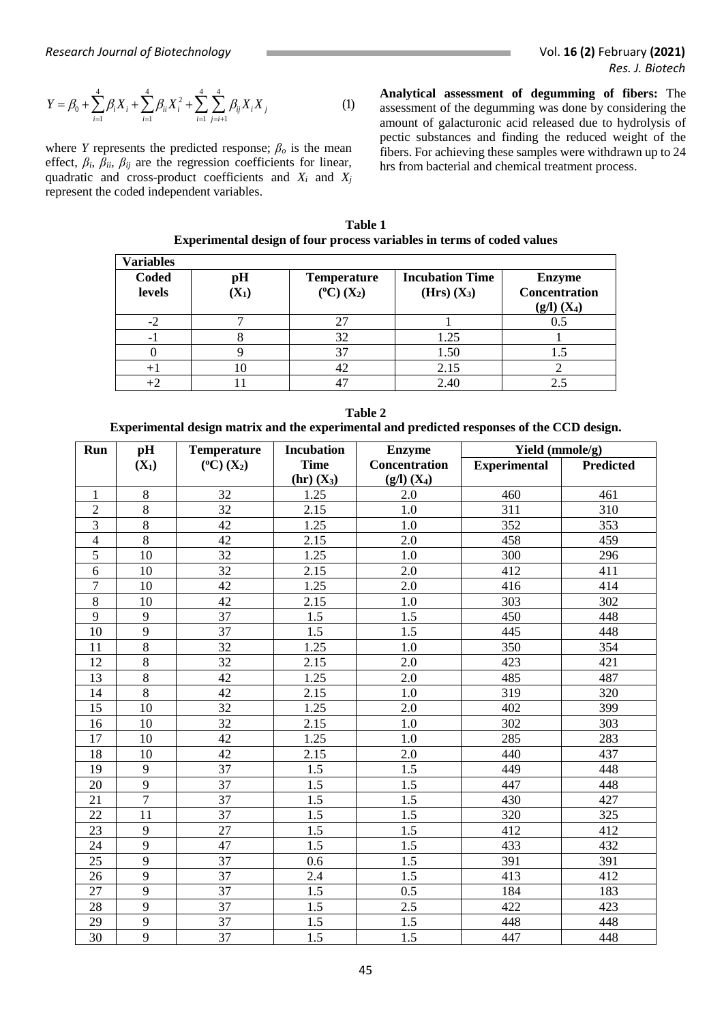$$
Y = \beta_0 + \sum_{i=1}^4 \beta_i X_i + \sum_{i=1}^4 \beta_{ii} X_i^2 + \sum_{i=1}^4 \sum_{j=i+1}^4 \beta_{ij} X_i X_j
$$
 (1)

where *Y* represents the predicted response;  $\beta_o$  is the mean effect,  $\beta_i$ ,  $\beta_{ii}$ ,  $\beta_{ij}$  are the regression coefficients for linear, quadratic and cross-product coefficients and *X<sup>i</sup>* and *X<sup>j</sup>* represent the coded independent variables.

*Research Journal of Biotechnology Vol. 16 (2) February (2021)<br>
<i>Res. J. Biotech*<br>  $Y = \beta_0 + \sum_{i=1}^4 \beta_i X_i + \sum_{i=1}^4 \beta_{ii} X_i^2 + \sum_{i=1}^4 \sum_{j=i+1}^4 \beta_{ij} X_i X_j$  (1) **Analytical assessment of degumming of fibers:** The assess **Analytical assessment of degumming of fibers:** The assessment of the degumming was done by considering the amount of galacturonic acid released due to hydrolysis of pectic substances and finding the reduced weight of the fibers. For achieving these samples were withdrawn up to 24 hrs from bacterial and chemical treatment process.

**Table 1 Experimental design of four process variables in terms of coded values**

| <b>Variables</b>       |               |                                             |                                         |                                                   |
|------------------------|---------------|---------------------------------------------|-----------------------------------------|---------------------------------------------------|
| <b>Coded</b><br>levels | pH<br>$(X_1)$ | <b>Temperature</b><br>$(^{\circ}C)$ $(X_2)$ | <b>Incubation Time</b><br>$(Hrs) (X_3)$ | <b>Enzyme</b><br>Concentration<br>$(g/l)$ $(X_4)$ |
| $-2$                   |               | 27                                          |                                         | 0.5                                               |
| - 1                    |               | 32                                          | 1.25                                    |                                                   |
|                        |               | 37                                          | 1.50                                    |                                                   |
|                        | ю             | 42                                          | 2.15                                    |                                                   |
|                        |               |                                             | 2.40                                    |                                                   |

**Table 2 Experimental design matrix and the experimental and predicted responses of the CCD design.**

| Run            | pH             | <b>Temperature</b>    | <b>Incubation</b> | <b>Enzyme</b>        | Yield (mmole/g)     |                  |
|----------------|----------------|-----------------------|-------------------|----------------------|---------------------|------------------|
|                | $(X_1)$        | $(^{\circ}C)$ $(X_2)$ | <b>Time</b>       | <b>Concentration</b> | <b>Experimental</b> | <b>Predicted</b> |
|                |                |                       | $(hr)$ $(X_3)$    | $(g/l)$ $(X_4)$      |                     |                  |
| 1              | 8              | 32                    | 1.25              | 2.0                  | 460                 | 461              |
| $\overline{2}$ | $\overline{8}$ | $\overline{32}$       | 2.15              | $1.0\,$              | 311                 | 310              |
| 3              | 8              | 42                    | 1.25              | 1.0                  | 352                 | 353              |
| $\overline{4}$ | $\overline{8}$ | $\overline{42}$       | 2.15              | 2.0                  | 458                 | 459              |
| 5              | 10             | 32                    | 1.25              | 1.0                  | 300                 | 296              |
| 6              | 10             | 32                    | 2.15              | 2.0                  | 412                 | 411              |
| $\overline{7}$ | 10             | 42                    | 1.25              | 2.0                  | 416                 | 414              |
| 8              | 10             | 42                    | 2.15              | 1.0                  | 303                 | 302              |
| 9              | 9              | 37                    | 1.5               | 1.5                  | 450                 | 448              |
| 10             | 9              | 37                    | 1.5               | 1.5                  | 445                 | 448              |
| 11             | 8              | 32                    | 1.25              | 1.0                  | 350                 | 354              |
| 12             | 8              | 32                    | 2.15              | 2.0                  | 423                 | 421              |
| 13             | $\overline{8}$ | 42                    | 1.25              | 2.0                  | 485                 | 487              |
| 14             | 8              | 42                    | 2.15              | 1.0                  | 319                 | 320              |
| 15             | 10             | $\overline{32}$       | 1.25              | 2.0                  | 402                 | 399              |
| 16             | 10             | 32                    | 2.15              | 1.0                  | 302                 | 303              |
| 17             | 10             | 42                    | 1.25              | 1.0                  | 285                 | 283              |
| 18             | 10             | 42                    | 2.15              | 2.0                  | 440                 | 437              |
| 19             | 9              | 37                    | 1.5               | 1.5                  | 449                 | 448              |
| 20             | 9              | 37                    | 1.5               | 1.5                  | 447                 | 448              |
| 21             | $\overline{7}$ | 37                    | 1.5               | 1.5                  | 430                 | 427              |
| 22             | 11             | 37                    | 1.5               | 1.5                  | 320                 | 325              |
| 23             | 9              | 27                    | 1.5               | 1.5                  | 412                 | 412              |
| 24             | 9              | 47                    | 1.5               | 1.5                  | 433                 | 432              |
| 25             | 9              | 37                    | 0.6               | 1.5                  | 391                 | 391              |
| 26             | 9              | 37                    | 2.4               | 1.5                  | 413                 | 412              |
| 27             | 9              | 37                    | 1.5               | 0.5                  | 184                 | 183              |
| 28             | 9              | $\overline{37}$       | 1.5               | 2.5                  | 422                 | 423              |
| 29             | 9              | 37                    | 1.5               | 1.5                  | 448                 | 448              |
| 30             | 9              | 37                    | 1.5               | 1.5                  | 447                 | 448              |

45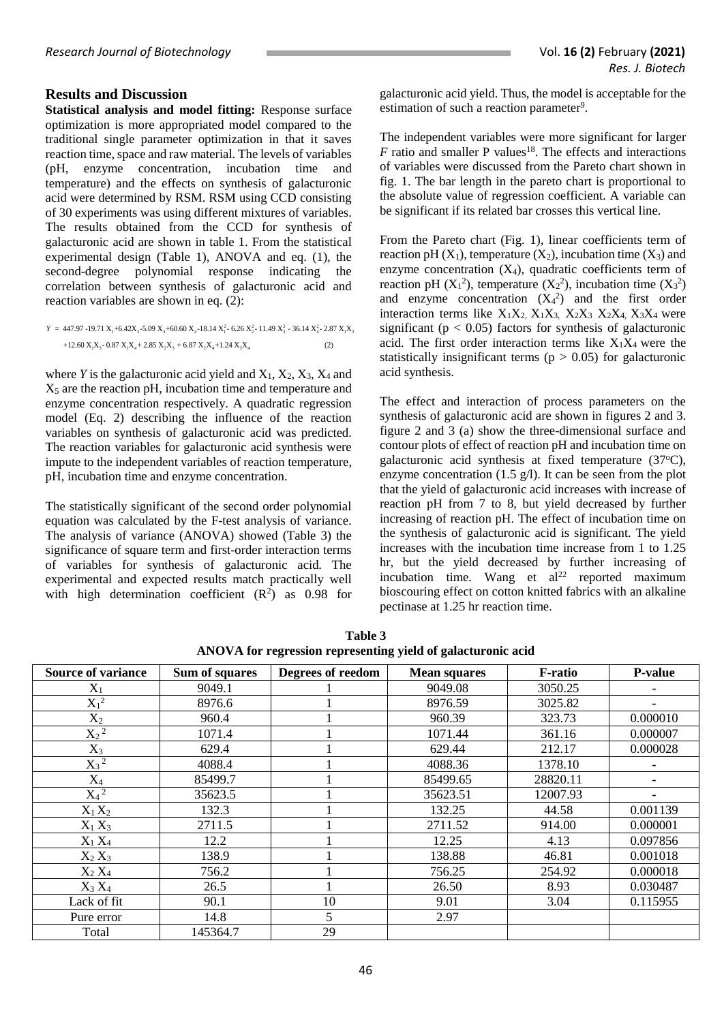#### **Results and Discussion**

**Statistical analysis and model fitting:** Response surface optimization is more appropriated model compared to the traditional single parameter optimization in that it saves reaction time, space and raw material. The levels of variables<br>(pH, enzyme concentration, incubation time and enzyme concentration, incubation time and temperature) and the effects on synthesis of galacturonic acid were determined by RSM. RSM using CCD consisting of 30 experiments was using different mixtures of variables. The results obtained from the CCD for synthesis of galacturonic acid are shown in table 1. From the statistical experimental design (Table 1), ANOVA and eq. (1), the second-degree polynomial response indicating the correlation between synthesis of galacturonic acid and reaction variables are shown in eq. (2):<br>  $Y = 447.97 - 19.71 X_1 + 6.42X_2 - 5.09 X_3 + 60.60 X_4 - 18.14 X_1^2 - 6.26 X_2^2 - 11.49 X_3^2 - 36.14 X_4^2 - 2.87 X_1 X_2$ 

$$
Y = 447.97 - 19.71 \, \text{X}_1 + 6.42 \, \text{X}_2 - 5.09 \, \text{X}_3 + 60.60 \, \text{X}_4 - 18.14 \, \text{X}_1^2 - 6.26 \, \text{X}_2^2 - 11.49 \, \text{X}_3^2 - 36.14 \, \text{X}_4^2 - 2.87 \, \text{X}_1 \, \text{X}_2 + 12.60 \, \text{X}_1 \, \text{X}_3 - 0.87 \, \text{X}_1 \, \text{X}_4 + 2.85 \, \text{X}_2 \, \text{X}_3 + 6.87 \, \text{X}_2 \, \text{X}_4 + 1.24 \, \text{X}_3 \, \text{X}_4 \tag{2}
$$

where *Y* is the galacturonic acid yield and  $X_1$ ,  $X_2$ ,  $X_3$ ,  $X_4$  and  $X<sub>5</sub>$  are the reaction pH, incubation time and temperature and enzyme concentration respectively. A quadratic regression model (Eq. 2) describing the influence of the reaction variables on synthesis of galacturonic acid was predicted. The reaction variables for galacturonic acid synthesis were impute to the independent variables of reaction temperature, pH, incubation time and enzyme concentration.

The statistically significant of the second order polynomial equation was calculated by the F-test analysis of variance. The analysis of variance (ANOVA) showed (Table 3) the significance of square term and first-order interaction terms of variables for synthesis of galacturonic acid. The experimental and expected results match practically well with high determination coefficient  $(R^2)$  as 0.98 for galacturonic acid yield. Thus, the model is acceptable for the estimation of such a reaction parameter<sup>9</sup>.

The independent variables were more significant for larger  $F$  ratio and smaller P values<sup>18</sup>. The effects and interactions of variables were discussed from the Pareto chart shown in fig. 1. The bar length in the pareto chart is proportional to the absolute value of regression coefficient. A variable can be significant if its related bar crosses this vertical line.

From the Pareto chart (Fig. 1), linear coefficients term of reaction pH  $(X_1)$ , temperature  $(X_2)$ , incubation time  $(X_3)$  and enzyme concentration  $(X_4)$ , quadratic coefficients term of reaction pH  $(X_1^2)$ , temperature  $(X_2^2)$ , incubation time  $(X_3^2)$ and enzyme concentration  $(X_4^2)$  and the first order interaction terms like  $X_1X_2, X_1X_3, X_2X_3, X_2X_4, X_3X_4$  were significant ( $p < 0.05$ ) factors for synthesis of galacturonic acid. The first order interaction terms like  $X_1X_4$  were the statistically insignificant terms ( $p > 0.05$ ) for galacturonic acid synthesis.

The effect and interaction of process parameters on the synthesis of galacturonic acid are shown in figures 2 and 3. figure 2 and 3 (a) show the three-dimensional surface and contour plots of effect of reaction pH and incubation time on galacturonic acid synthesis at fixed temperature  $(37^{\circ}C)$ , enzyme concentration  $(1.5 \text{ g/l})$ . It can be seen from the plot that the yield of galacturonic acid increases with increase of reaction pH from 7 to 8, but yield decreased by further increasing of reaction pH. The effect of incubation time on the synthesis of galacturonic acid is significant. The yield increases with the incubation time increase from 1 to 1.25 hr, but the yield decreased by further increasing of incubation time. Wang et  $al^{22}$  reported maximum bioscouring effect on cotton knitted fabrics with an alkaline pectinase at 1.25 hr reaction time.

| <b>Source of variance</b> | Sum of squares | Degrees of reedom | <b>Mean squares</b> | F-ratio  | <b>P-value</b> |
|---------------------------|----------------|-------------------|---------------------|----------|----------------|
|                           | 9049.1         |                   | 9049.08             | 3050.25  |                |
| $X_1$                     |                |                   |                     |          |                |
| $X_1^2$                   | 8976.6         |                   | 8976.59             | 3025.82  |                |
| $X_2$                     | 960.4          |                   | 960.39              | 323.73   | 0.000010       |
| $X_2^{\overline{2}}$      | 1071.4         |                   | 1071.44             | 361.16   | 0.000007       |
| $X_3$                     | 629.4          |                   | 629.44              | 212.17   | 0.000028       |
| $X_3^2$                   | 4088.4         |                   | 4088.36             | 1378.10  |                |
| $X_4$                     | 85499.7        |                   | 85499.65            | 28820.11 | ۰              |
| $X_4$ <sup>2</sup>        | 35623.5        |                   | 35623.51            | 12007.93 |                |
| $X_1X_2$                  | 132.3          |                   | 132.25              | 44.58    | 0.001139       |
| $X_1 X_3$                 | 2711.5         |                   | 2711.52             | 914.00   | 0.000001       |
| $X_1 X_4$                 | 12.2           |                   | 12.25               | 4.13     | 0.097856       |
| $X_2 X_3$                 | 138.9          |                   | 138.88              | 46.81    | 0.001018       |
| $X_2 X_4$                 | 756.2          |                   | 756.25              | 254.92   | 0.000018       |
| $X_3 X_4$                 | 26.5           |                   | 26.50               | 8.93     | 0.030487       |
| Lack of fit               | 90.1           | 10                | 9.01                | 3.04     | 0.115955       |
| Pure error                | 14.8           | 5                 | 2.97                |          |                |
| Total                     | 145364.7       | 29                |                     |          |                |

**Table 3 ANOVA for regression representing yield of galacturonic acid**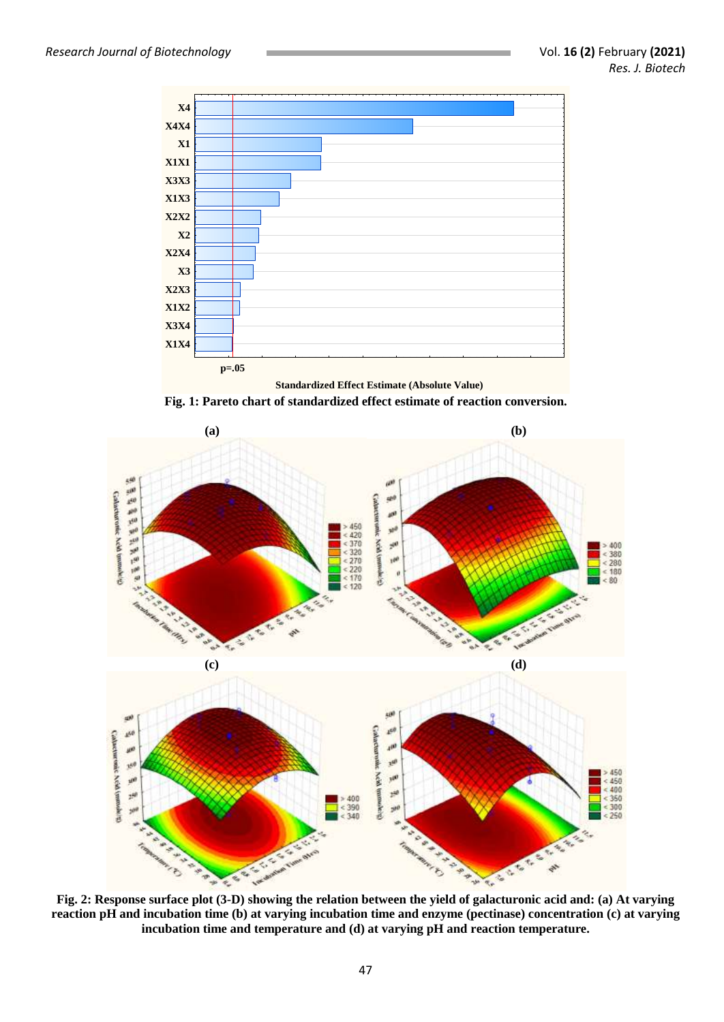

**Fig. 1: Pareto chart of standardized effect estimate of reaction conversion.**



**Fig. 2: Response surface plot (3-D) showing the relation between the yield of galacturonic acid and: (a) At varying reaction pH and incubation time (b) at varying incubation time and enzyme (pectinase) concentration (c) at varying incubation time and temperature and (d) at varying pH and reaction temperature.**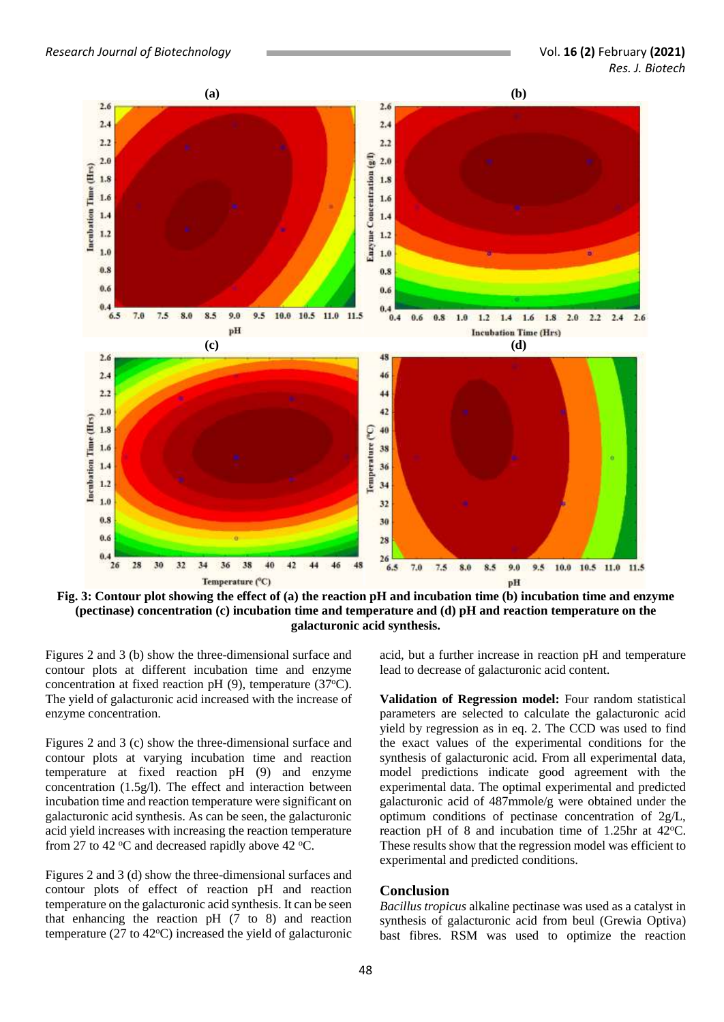

**Fig. 3: Contour plot showing the effect of (a) the reaction pH and incubation time (b) incubation time and enzyme (pectinase) concentration (c) incubation time and temperature and (d) pH and reaction temperature on the galacturonic acid synthesis.**

Figures 2 and 3 (b) show the three-dimensional surface and contour plots at different incubation time and enzyme concentration at fixed reaction pH  $(9)$ , temperature  $(37^{\circ}C)$ . The yield of galacturonic acid increased with the increase of enzyme concentration.

Figures 2 and 3 (c) show the three-dimensional surface and contour plots at varying incubation time and reaction temperature at fixed reaction pH (9) and enzyme concentration (1.5g/l). The effect and interaction between incubation time and reaction temperature were significant on galacturonic acid synthesis. As can be seen, the galacturonic acid yield increases with increasing the reaction temperature from 27 to 42  $\degree$ C and decreased rapidly above 42  $\degree$ C.

Figures 2 and 3 (d) show the three-dimensional surfaces and contour plots of effect of reaction pH and reaction temperature on the galacturonic acid synthesis. It can be seen that enhancing the reaction pH (7 to 8) and reaction temperature (27 to 42 $\degree$ C) increased the yield of galacturonic

acid, but a further increase in reaction pH and temperature lead to decrease of galacturonic acid content.

**Validation of Regression model:** Four random statistical parameters are selected to calculate the galacturonic acid yield by regression as in eq. 2. The CCD was used to find the exact values of the experimental conditions for the synthesis of galacturonic acid. From all experimental data, model predictions indicate good agreement with the experimental data. The optimal experimental and predicted galacturonic acid of 487mmole/g were obtained under the optimum conditions of pectinase concentration of 2g/L, reaction pH of 8 and incubation time of  $1.25$ hr at  $42^{\circ}$ C. These results show that the regression model was efficient to experimental and predicted conditions.

#### **Conclusion**

*Bacillus tropicus* alkaline pectinase was used as a catalyst in synthesis of galacturonic acid from beul (Grewia Optiva) bast fibres. RSM was used to optimize the reaction